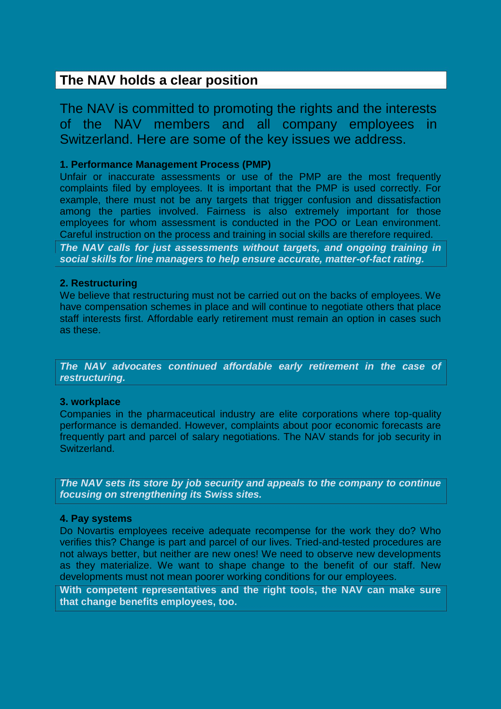# **The NAV holds a clear position**

The NAV is committed to promoting the rights and the interests of the NAV members and all company employees in Switzerland. Here are some of the key issues we address.

### **1. Performance Management Process (PMP)**

Unfair or inaccurate assessments or use of the PMP are the most frequently complaints filed by employees. It is important that the PMP is used correctly. For example, there must not be any targets that trigger confusion and dissatisfaction among the parties involved. Fairness is also extremely important for those employees for whom assessment is conducted in the POO or Lean environment. Careful instruction on the process and training in social skills are therefore required.

*The NAV calls for just assessments without targets, and ongoing training in social skills for line managers to help ensure accurate, matter-of-fact rating.*

#### **2. Restructuring**

We believe that restructuring must not be carried out on the backs of employees. We have compensation schemes in place and will continue to negotiate others that place staff interests first. Affordable early retirement must remain an option in cases such as these.

*The NAV advocates continued affordable early retirement in the case of restructuring.*

#### **3. workplace**

Companies in the pharmaceutical industry are elite corporations where top-quality performance is demanded. However, complaints about poor economic forecasts are frequently part and parcel of salary negotiations. The NAV stands for job security in Switzerland.

*The NAV sets its store by job security and appeals to the company to continue focusing on strengthening its Swiss sites.*

#### **4. Pay systems**

Do Novartis employees receive adequate recompense for the work they do? Who verifies this? Change is part and parcel of our lives. Tried-and-tested procedures are not always better, but neither are new ones! We need to observe new developments as they materialize. We want to shape change to the benefit of our staff. New developments must not mean poorer working conditions for our employees.

**With competent representatives and the right tools, the NAV can make sure that change benefits employees, too.**